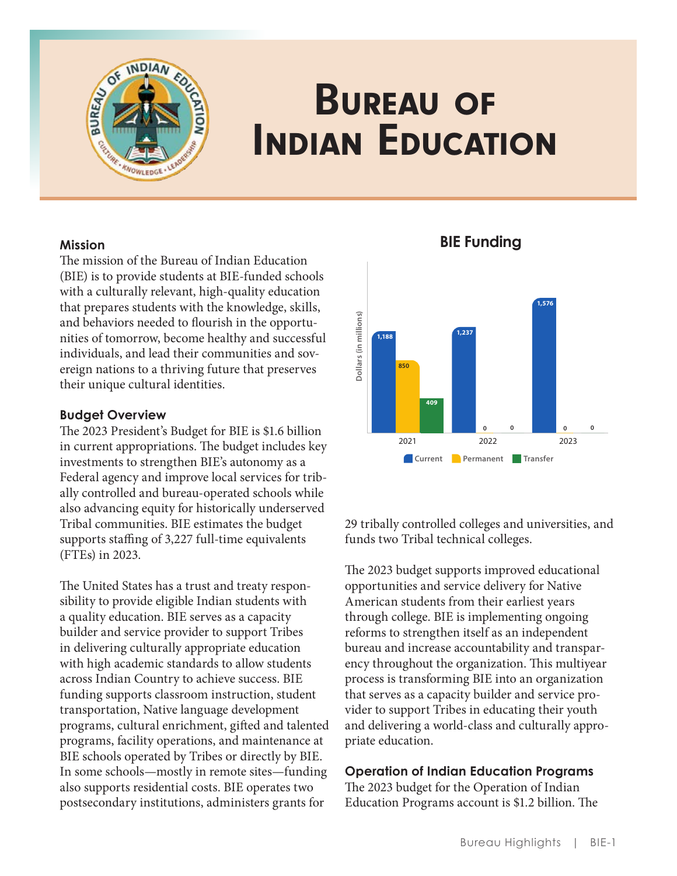

# Bureau of Indian Education

## **Mission**

The mission of the Bureau of Indian Education (BIE) is to provide students at BIE-funded schools with a culturally relevant, high-quality education that prepares students with the knowledge, skills, and behaviors needed to flourish in the opportunities of tomorrow, become healthy and successful individuals, and lead their communities and sovereign nations to a thriving future that preserves their unique cultural identities .

## **Budget Overview**

The 2023 President's Budget for BIE is \$1.6 billion in current appropriations. The budget includes key investments to strengthen BIE's autonomy as a Federal agency and improve local services for tribally controlled and bureau-operated schools while also advancing equity for historically underserved Tribal communities . BIE estimates the budget supports staffing of 3,227 full-time equivalents (FTEs) in 2023 .

The United States has a trust and treaty responsibility to provide eligible Indian students with a quality education . BIE serves as a capacity builder and service provider to support Tribes in delivering culturally appropriate education with high academic standards to allow students across Indian Country to achieve success. BIE funding supports classroom instruction, student transportation, Native language development programs, cultural enrichment, gifted and talented programs, facility operations, and maintenance at BIE schools operated by Tribes or directly by BIE . In some schools—mostly in remote sites—funding also supports residential costs . BIE operates two postsecondary institutions, administers grants for



**BIE Funding**

29 tribally controlled colleges and universities, and funds two Tribal technical colleges.

The 2023 budget supports improved educational opportunities and service delivery for Native American students from their earliest years through college. BIE is implementing ongoing reforms to strengthen itself as an independent bureau and increase accountability and transparency throughout the organization. This multiyear process is transforming BIE into an organization that serves as a capacity builder and service provider to support Tribes in educating their youth and delivering a world-class and culturally appropriate education.

## **Operation of Indian Education Programs**

The 2023 budget for the Operation of Indian Education Programs account is \$1.2 billion. The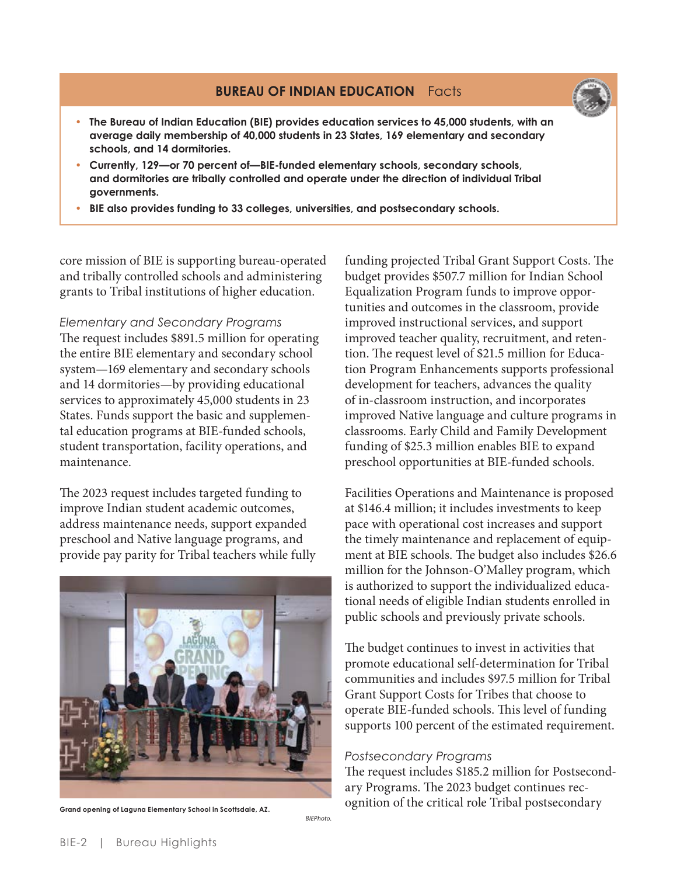# **BUREAU OF INDIAN EDUCATION Facts**



- **• The Bureau of Indian Education (BIE) provides education services to 45,000 students, with an average daily membership of 40,000 students in 23 States, 169 elementary and secondary schools, and 14 dormitories.**
- **• Currently, 129—or 70 percent of—BIE-funded elementary schools, secondary schools, and dormitories are tribally controlled and operate under the direction of individual Tribal governments.**
- **• BIE also provides funding to 33 colleges, universities, and postsecondary schools.**

core mission of BIE is supporting bureau-operated and tribally controlled schools and administering grants to Tribal institutions of higher education .

*Elementary and Secondary Programs* The request includes \$891 .5 million for operating the entire BIE elementary and secondary school system—169 elementary and secondary schools and 14 dormitories—by providing educational services to approximately 45,000 students in 23 States. Funds support the basic and supplemental education programs at BIE-funded schools, student transportation, facility operations, and maintenance .

The 2023 request includes targeted funding to improve Indian student academic outcomes, address maintenance needs, support expanded preschool and Native language programs, and provide pay parity for Tribal teachers while fully



**Grand opening of Laguna Elementary School in Scottsdale, AZ.** 

*BIEPhoto.*

funding projected Tribal Grant Support Costs. The budget provides \$507.7 million for Indian School Equalization Program funds to improve opportunities and outcomes in the classroom, provide improved instructional services, and support improved teacher quality, recruitment, and retention. The request level of \$21.5 million for Education Program Enhancements supports professional development for teachers, advances the quality of in-classroom instruction, and incorporates improved Native language and culture programs in classrooms . Early Child and Family Development funding of \$25.3 million enables BIE to expand preschool opportunities at BIE-funded schools .

Facilities Operations and Maintenance is proposed at \$146 .4 million; it includes investments to keep pace with operational cost increases and support the timely maintenance and replacement of equipment at BIE schools. The budget also includes \$26.6 million for the Johnson-O'Malley program, which is authorized to support the individualized educational needs of eligible Indian students enrolled in public schools and previously private schools .

The budget continues to invest in activities that promote educational self-determination for Tribal communities and includes \$97 .5 million for Tribal Grant Support Costs for Tribes that choose to operate BIE-funded schools . This level of funding supports 100 percent of the estimated requirement.

#### *Postsecondary Programs*

The request includes \$185.2 million for Postsecondary Programs. The 2023 budget continues recognition of the critical role Tribal postsecondary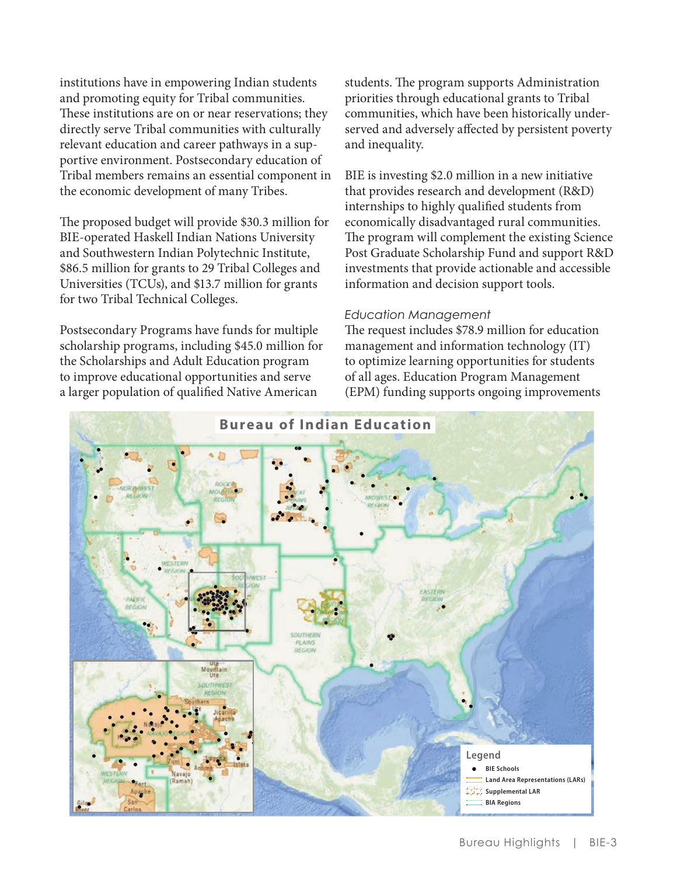institutions have in empowering Indian students and promoting equity for Tribal communities. These institutions are on or near reservations; they directly serve Tribal communities with culturally relevant education and career pathways in a supportive environment. Postsecondary education of Tribal members remains an essential component in the economic development of many Tribes.

The proposed budget will provide \$30.3 million for BIE-operated Haskell Indian Nations University and Southwestern Indian Polytechnic Institute, \$86.5 million for grants to 29 Tribal Colleges and Universities (TCUs), and \$13.7 million for grants for two Tribal Technical Colleges.

Postsecondary Programs have funds for multiple scholarship programs, including \$45.0 million for the Scholarships and Adult Education program to improve educational opportunities and serve a larger population of qualified Native American

students. The program supports Administration priorities through educational grants to Tribal communities, which have been historically underserved and adversely affected by persistent poverty and inequality.

BIE is investing \$2.0 million in a new initiative that provides research and development (R&D) internships to highly qualified students from economically disadvantaged rural communities. The program will complement the existing Science Post Graduate Scholarship Fund and support R&D investments that provide actionable and accessible information and decision support tools.

#### *Education Management*

The request includes \$78.9 million for education management and information technology (IT) to optimize learning opportunities for students of all ages. Education Program Management (EPM) funding supports ongoing improvements

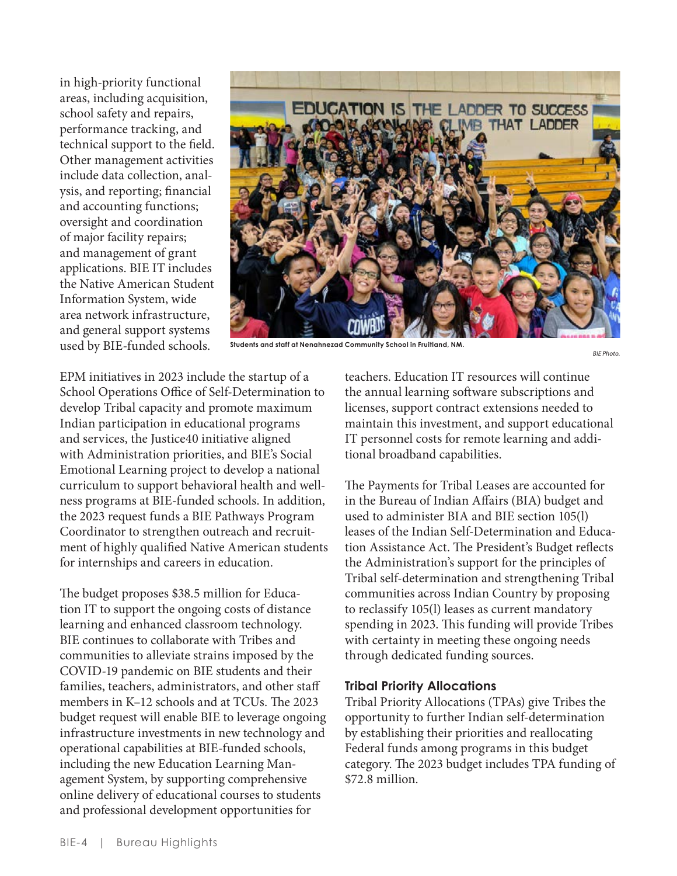in high-priority functional areas, including acquisition, school safety and repairs, performance tracking, and technical support to the field. Other management activities include data collection, analysis, and reporting; financial and accounting functions; oversight and coordination of major facility repairs; and management of grant applications. BIE IT includes the Native American Student Information System, wide area network infrastructure, and general support systems used by BIE-funded schools.



**Students and staff at Nenahnezad Community School in Fruitland, NM.** 

```
BIE Photo.
```
EPM initiatives in 2023 include the startup of a School Operations Office of Self-Determination to develop Tribal capacity and promote maximum Indian participation in educational programs and services, the Justice40 initiative aligned with Administration priorities, and BIE's Social Emotional Learning project to develop a national curriculum to support behavioral health and wellness programs at BIE-funded schools. In addition, the 2023 request funds a BIE Pathways Program Coordinator to strengthen outreach and recruitment of highly qualified Native American students for internships and careers in education.

The budget proposes \$38.5 million for Education IT to support the ongoing costs of distance learning and enhanced classroom technology. BIE continues to collaborate with Tribes and communities to alleviate strains imposed by the COVID-19 pandemic on BIE students and their families, teachers, administrators, and other staff members in K–12 schools and at TCUs. The 2023 budget request will enable BIE to leverage ongoing infrastructure investments in new technology and operational capabilities at BIE-funded schools, including the new Education Learning Management System, by supporting comprehensive online delivery of educational courses to students and professional development opportunities for

teachers. Education IT resources will continue the annual learning software subscriptions and licenses, support contract extensions needed to maintain this investment, and support educational IT personnel costs for remote learning and additional broadband capabilities.

The Payments for Tribal Leases are accounted for in the Bureau of Indian Affairs (BIA) budget and used to administer BIA and BIE section 105(l) leases of the Indian Self-Determination and Education Assistance Act. The President's Budget reflects the Administration's support for the principles of Tribal self-determination and strengthening Tribal communities across Indian Country by proposing to reclassify 105(l) leases as current mandatory spending in 2023. This funding will provide Tribes with certainty in meeting these ongoing needs through dedicated funding sources.

## **Tribal Priority Allocations**

Tribal Priority Allocations (TPAs) give Tribes the opportunity to further Indian self-determination by establishing their priorities and reallocating Federal funds among programs in this budget category. The 2023 budget includes TPA funding of \$72.8 million.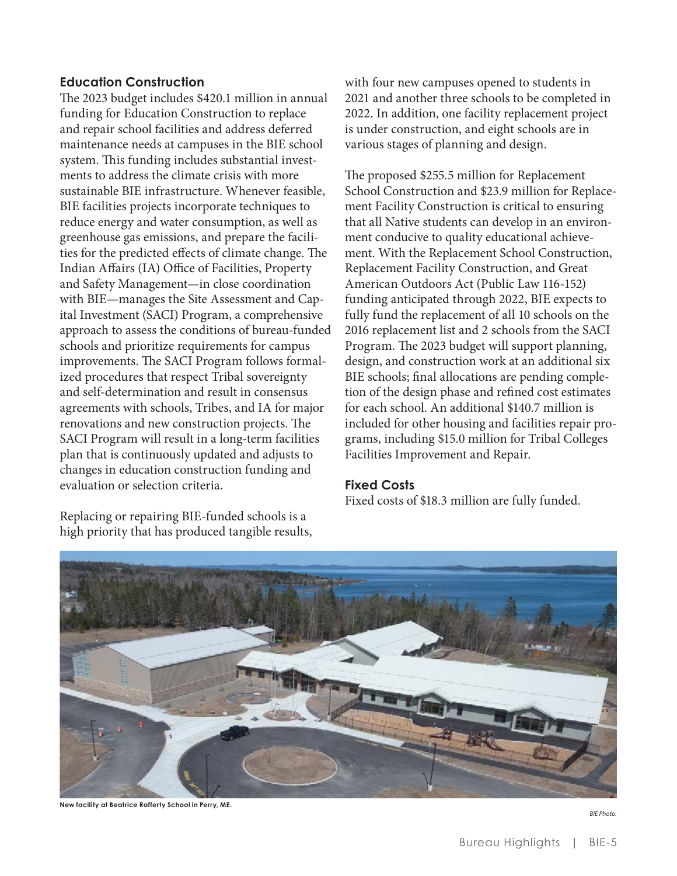## **Education Construction**

The 2023 budget includes \$420.1 million in annual funding for Education Construction to replace and repair school facilities and address deferred maintenance needs at campuses in the BIE school system. This funding includes substantial investments to address the climate crisis with more sustainable BIE infrastructure. Whenever feasible, BIE facilities projects incorporate techniques to reduce energy and water consumption, as well as greenhouse gas emissions, and prepare the facilities for the predicted effects of climate change. The Indian Affairs (IA) Office of Facilities, Property and Safety Management—in close coordination with BIE—manages the Site Assessment and Capital Investment (SACI) Program, a comprehensive approach to assess the conditions of bureau-funded schools and prioritize requirements for campus improvements. The SACI Program follows formalized procedures that respect Tribal sovereignty and self-determination and result in consensus agreements with schools, Tribes, and IA for major renovations and new construction projects. The SACI Program will result in a long-term facilities plan that is continuously updated and adjusts to changes in education construction funding and evaluation or selection criteria.

Replacing or repairing BIE-funded schools is a high priority that has produced tangible results, with four new campuses opened to students in 2021 and another three schools to be completed in 2022. In addition, one facility replacement project is under construction, and eight schools are in various stages of planning and design.

The proposed \$255.5 million for Replacement School Construction and \$23.9 million for Replacement Facility Construction is critical to ensuring that all Native students can develop in an environment conducive to quality educational achievement. With the Replacement School Construction, Replacement Facility Construction, and Great American Outdoors Act (Public Law 116-152) funding anticipated through 2022, BIE expects to fully fund the replacement of all 10 schools on the 2016 replacement list and 2 schools from the SACI Program. The 2023 budget will support planning, design, and construction work at an additional six BIE schools; final allocations are pending completion of the design phase and refined cost estimates for each school. An additional \$140.7 million is included for other housing and facilities repair programs, including \$15.0 million for Tribal Colleges Facilities Improvement and Repair.

## **Fixed Costs**

Fixed costs of \$18.3 million are fully funded.



**New facility at Beatrice Rafferty School in Perry, ME.** 

*BIE Photo.*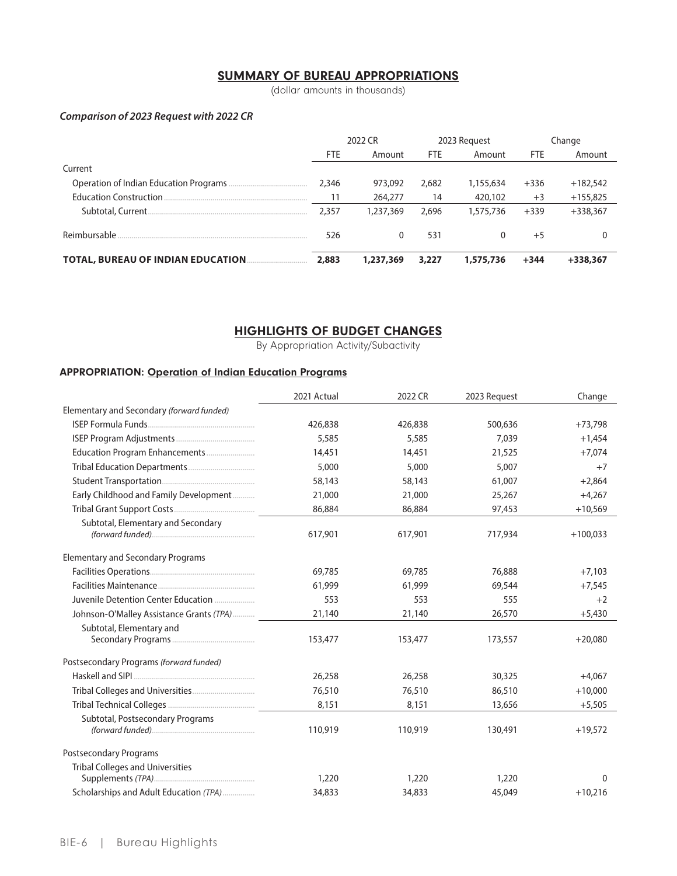# **SUMMARY OF BUREAU APPROPRIATIONS**

(dollar amounts in thousands)

#### Comparison of 2023 Request with 2022 CR

|                                           | 2022 CR    |           | 2023 Request |           | Change     |            |
|-------------------------------------------|------------|-----------|--------------|-----------|------------|------------|
|                                           | <b>FTE</b> | Amount    | <b>FTE</b>   | Amount    | <b>FTE</b> | Amount     |
| Current                                   |            |           |              |           |            |            |
|                                           | 2,346      | 973,092   | 2,682        | 1,155,634 | $+336$     | $+182,542$ |
| <b>Education Construction.</b>            |            | 264,277   | 14           | 420,102   | $+3$       | $+155,825$ |
|                                           | 2.357      | 1,237,369 | 2.696        | 1,575,736 | $+339$     | $+338.367$ |
| Reimbursable                              | 526        |           | 531          | 0         | $+5$       |            |
| <b>TOTAL, BUREAU OF INDIAN EDUCATION.</b> | 2,883      | 1,237,369 | 3,227        | 1,575,736 | $+344$     | $+338.367$ |

## **HIGHLIGHTS OF BUDGET CHANGES**

By Appropriation Activity/Subactivity

#### **APPROPRIATION: Operation of Indian Education Programs**

|                                           | 2021 Actual | 2022 CR | 2023 Request | Change       |
|-------------------------------------------|-------------|---------|--------------|--------------|
| Elementary and Secondary (forward funded) |             |         |              |              |
|                                           | 426,838     | 426,838 | 500,636      | $+73,798$    |
|                                           | 5,585       | 5,585   | 7,039        | $+1,454$     |
|                                           | 14,451      | 14,451  | 21,525       | $+7,074$     |
|                                           | 5,000       | 5,000   | 5,007        | $+7$         |
|                                           | 58,143      | 58,143  | 61,007       | $+2,864$     |
| Early Childhood and Family Development    | 21,000      | 21,000  | 25,267       | $+4,267$     |
|                                           | 86,884      | 86,884  | 97,453       | $+10,569$    |
| Subtotal, Elementary and Secondary        | 617,901     | 617,901 | 717,934      | $+100,033$   |
| <b>Elementary and Secondary Programs</b>  |             |         |              |              |
|                                           | 69.785      | 69.785  | 76,888       | $+7,103$     |
|                                           | 61,999      | 61,999  | 69,544       | $+7,545$     |
| Juvenile Detention Center Education       | 553         | 553     | 555          | $+2$         |
| Johnson-O'Malley Assistance Grants (TPA)  | 21,140      | 21,140  | 26,570       | $+5,430$     |
| Subtotal, Elementary and                  | 153,477     | 153,477 | 173,557      | $+20,080$    |
| Postsecondary Programs (forward funded)   |             |         |              |              |
|                                           | 26,258      | 26,258  | 30,325       | $+4,067$     |
|                                           | 76,510      | 76,510  | 86,510       | $+10,000$    |
|                                           | 8,151       | 8,151   | 13,656       | $+5,505$     |
| Subtotal, Postsecondary Programs          | 110,919     | 110,919 | 130,491      | $+19,572$    |
| <b>Postsecondary Programs</b>             |             |         |              |              |
| <b>Tribal Colleges and Universities</b>   | 1,220       | 1,220   | 1,220        | $\mathbf{0}$ |
| Scholarships and Adult Education (TPA)    | 34,833      | 34,833  | 45,049       | $+10,216$    |